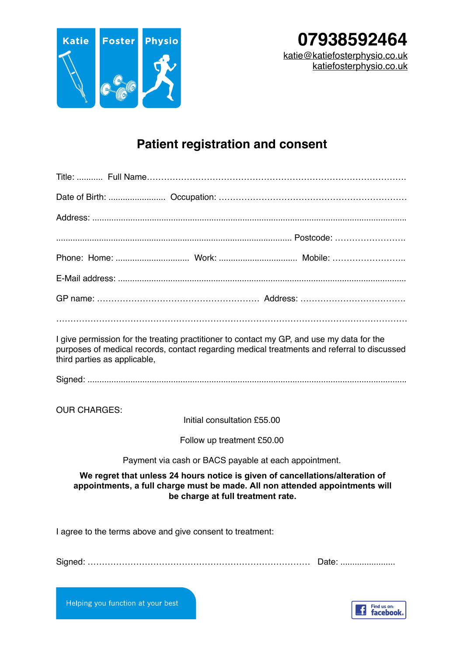

## **Patient registration and consent**

| I give permission for the treating practitioner to contact my GP, and use my data for the<br>purposes of medical records, contact regarding medical treatments and referral to discussed<br>third parties as applicable, |  |  |  |  |  |
|--------------------------------------------------------------------------------------------------------------------------------------------------------------------------------------------------------------------------|--|--|--|--|--|
|                                                                                                                                                                                                                          |  |  |  |  |  |
| <b>OUR CHARGES:</b><br>Initial consultation £55.00                                                                                                                                                                       |  |  |  |  |  |
| Follow up treatment £50.00                                                                                                                                                                                               |  |  |  |  |  |
| Payment via cash or BACS payable at each appointment.                                                                                                                                                                    |  |  |  |  |  |
| We regret that unless 24 hours notice is given of cancellations/alteration of<br>appointments, a full charge must be made. All non attended appointments will<br>be charge at full treatment rate.                       |  |  |  |  |  |
| I agree to the terms above and give consent to treatment:                                                                                                                                                                |  |  |  |  |  |
| Date:                                                                                                                                                                                                                    |  |  |  |  |  |

Helping you function at your best

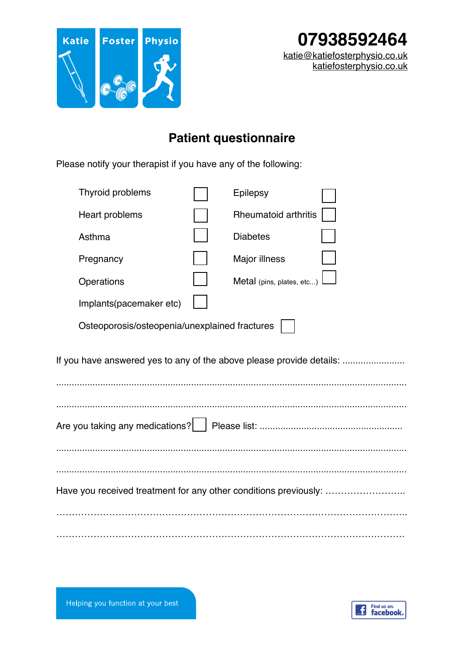

## **Patient questionnaire**

Please notify your therapist if you have any of the following:

|                                                                      | Thyroid problems                              |  | Epilepsy                    |  |  |
|----------------------------------------------------------------------|-----------------------------------------------|--|-----------------------------|--|--|
|                                                                      | Heart problems                                |  | <b>Rheumatoid arthritis</b> |  |  |
|                                                                      | Asthma                                        |  | <b>Diabetes</b>             |  |  |
|                                                                      | Pregnancy                                     |  | Major illness               |  |  |
|                                                                      | Operations                                    |  | Metal (pins, plates, etc)   |  |  |
|                                                                      | Implants(pacemaker etc)                       |  |                             |  |  |
|                                                                      | Osteoporosis/osteopenia/unexplained fractures |  |                             |  |  |
| If you have answered yes to any of the above please provide details: |                                               |  |                             |  |  |
|                                                                      |                                               |  |                             |  |  |
|                                                                      |                                               |  |                             |  |  |
|                                                                      |                                               |  |                             |  |  |
| Have you received treatment for any other conditions previously:     |                                               |  |                             |  |  |
|                                                                      |                                               |  |                             |  |  |
|                                                                      |                                               |  |                             |  |  |



Helping you function at your best